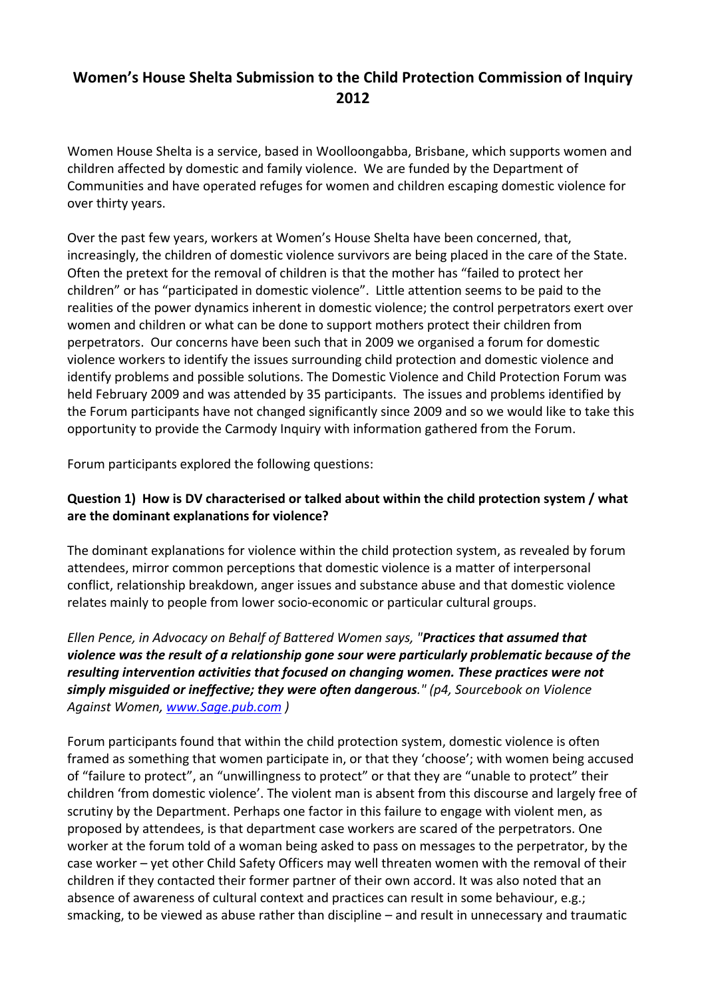# **Women's House Shelta Submission to the Child Protection Commission of Inquiry 2012**

Women House Shelta is a service, based in Woolloongabba, Brisbane, which supports women and children affected by domestic and family violence. We are funded by the Department of Communities and have operated refuges for women and children escaping domestic violence for over thirty years.

Over the past few years, workers at Women's House Shelta have been concerned, that, increasingly, the children of domestic violence survivors are being placed in the care of the State. Often the pretext for the removal of children is that the mother has "failed to protect her children" or has "participated in domestic violence". Little attention seems to be paid to the realities of the power dynamics inherent in domestic violence; the control perpetrators exert over women and children or what can be done to support mothers protect their children from perpetrators. Our concerns have been such that in 2009 we organised a forum for domestic violence workers to identify the issues surrounding child protection and domestic violence and identify problems and possible solutions. The Domestic Violence and Child Protection Forum was held February 2009 and was attended by 35 participants. The issues and problems identified by the Forum participants have not changed significantly since 2009 and so we would like to take this opportunity to provide the Carmody Inquiry with information gathered from the Forum.

Forum participants explored the following questions:

# **Question 1) How is DV characterised or talked about within the child protection system / what are the dominant explanations for violence?**

The dominant explanations for violence within the child protection system, as revealed by forum attendees, mirror common perceptions that domestic violence is a matter of interpersonal conflict, relationship breakdown, anger issues and substance abuse and that domestic violence relates mainly to people from lower socio‐economic or particular cultural groups.

*Ellen Pence, in Advocacy on Behalf of Battered Women says, "Practices that assumed that violence was the result of a relationship gone sour were particularly problematic because of the resulting intervention activities that focused on changing women. These practices were not simply misguided or ineffective; they were often dangerous." (p4, Sourcebook on Violence Against Women, [www.Sage.pub.com](http://www.sage.pub.com/) )*

Forum participants found that within the child protection system, domestic violence is often framed as something that women participate in, or that they 'choose'; with women being accused of "failure to protect", an "unwillingness to protect" or that they are "unable to protect" their children 'from domestic violence'. The violent man is absent from this discourse and largely free of scrutiny by the Department. Perhaps one factor in this failure to engage with violent men, as proposed by attendees, is that department case workers are scared of the perpetrators. One worker at the forum told of a woman being asked to pass on messages to the perpetrator, by the case worker – yet other Child Safety Officers may well threaten women with the removal of their children if they contacted their former partner of their own accord. It was also noted that an absence of awareness of cultural context and practices can result in some behaviour, e.g.; smacking, to be viewed as abuse rather than discipline – and result in unnecessary and traumatic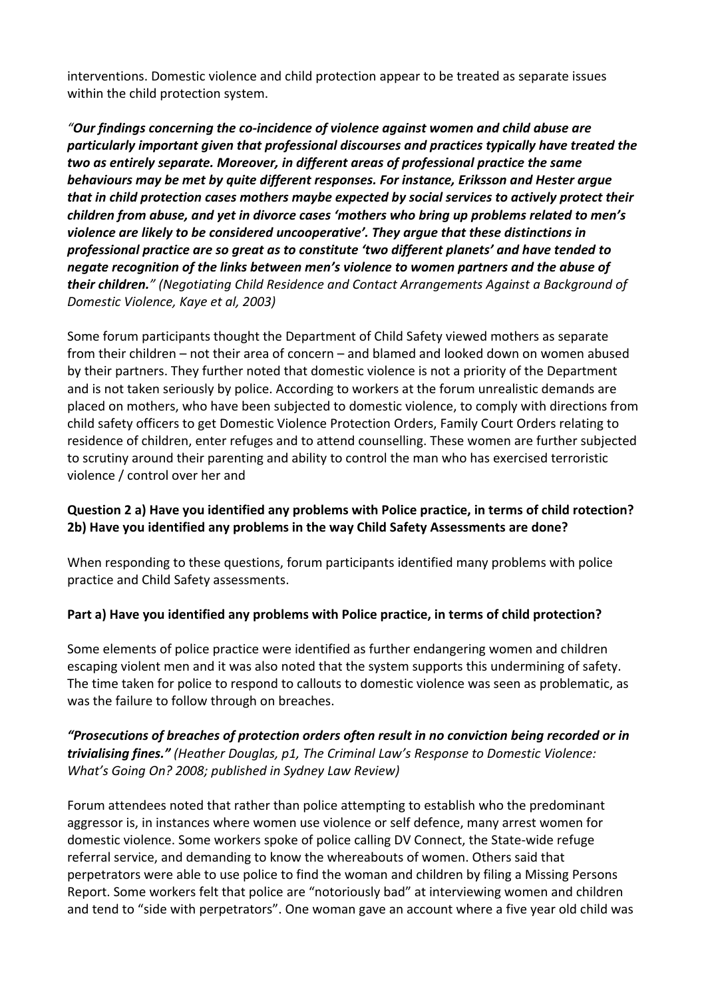interventions. Domestic violence and child protection appear to be treated as separate issues within the child protection system.

*"Our findings concerning the co‐incidence of violence against women and child abuse are particularly important given that professional discourses and practices typically have treated the two as entirely separate. Moreover, in different areas of professional practice the same behaviours may be met by quite different responses. For instance, Eriksson and Hester argue that in child protection cases mothers maybe expected by social services to actively protect their children from abuse, and yet in divorce cases 'mothers who bring up problems related to men's violence are likely to be considered uncooperative'. They argue that these distinctions in professional practice are so great as to constitute 'two different planets' and have tended to negate recognition of the links between men's violence to women partners and the abuse of their children." (Negotiating Child Residence and Contact Arrangements Against a Background of Domestic Violence, Kaye et al, 2003)*

Some forum participants thought the Department of Child Safety viewed mothers as separate from their children – not their area of concern – and blamed and looked down on women abused by their partners. They further noted that domestic violence is not a priority of the Department and is not taken seriously by police. According to workers at the forum unrealistic demands are placed on mothers, who have been subjected to domestic violence, to comply with directions from child safety officers to get Domestic Violence Protection Orders, Family Court Orders relating to residence of children, enter refuges and to attend counselling. These women are further subjected to scrutiny around their parenting and ability to control the man who has exercised terroristic violence / control over her and

# **Question 2 a) Have you identified any problems with Police practice, in terms of child rotection? 2b) Have you identified any problems in the way Child Safety Assessments are done?**

When responding to these questions, forum participants identified many problems with police practice and Child Safety assessments.

# **Part a) Have you identified any problems with Police practice, in terms of child protection?**

Some elements of police practice were identified as further endangering women and children escaping violent men and it was also noted that the system supports this undermining of safety. The time taken for police to respond to callouts to domestic violence was seen as problematic, as was the failure to follow through on breaches.

*"Prosecutions of breaches of protection orders often result in no conviction being recorded or in trivialising fines." (Heather Douglas, p1, The Criminal Law's Response to Domestic Violence: What's Going On? 2008; published in Sydney Law Review)*

Forum attendees noted that rather than police attempting to establish who the predominant aggressor is, in instances where women use violence or self defence, many arrest women for domestic violence. Some workers spoke of police calling DV Connect, the State‐wide refuge referral service, and demanding to know the whereabouts of women. Others said that perpetrators were able to use police to find the woman and children by filing a Missing Persons Report. Some workers felt that police are "notoriously bad" at interviewing women and children and tend to "side with perpetrators". One woman gave an account where a five year old child was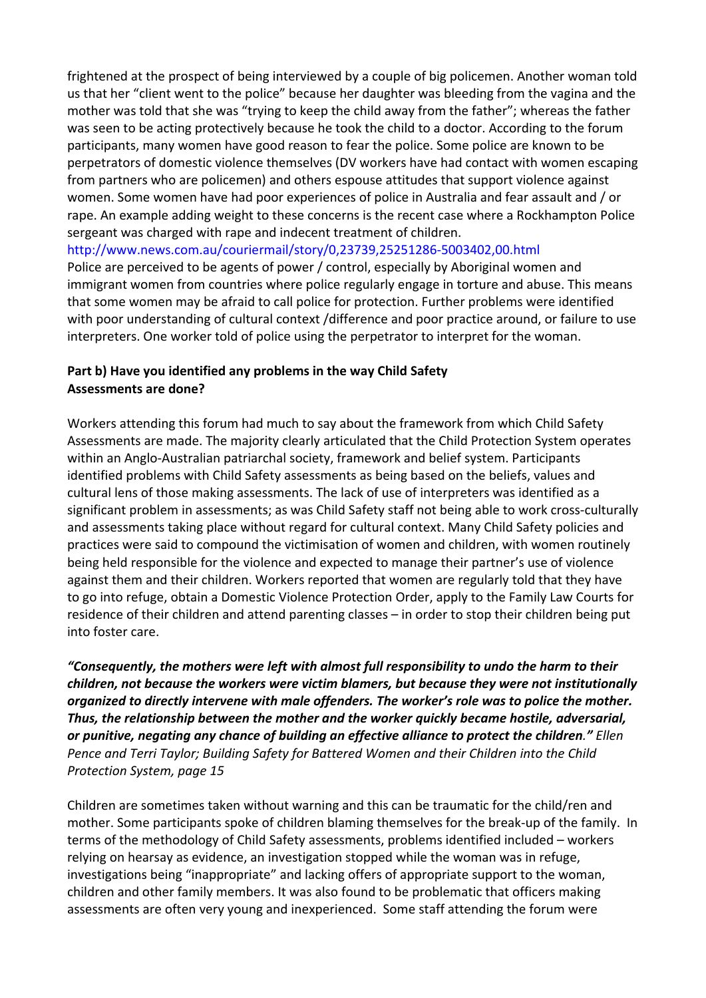frightened at the prospect of being interviewed by a couple of big policemen. Another woman told us that her "client went to the police" because her daughter was bleeding from the vagina and the mother was told that she was "trying to keep the child away from the father"; whereas the father was seen to be acting protectively because he took the child to a doctor. According to the forum participants, many women have good reason to fear the police. Some police are known to be perpetrators of domestic violence themselves (DV workers have had contact with women escaping from partners who are policemen) and others espouse attitudes that support violence against women. Some women have had poor experiences of police in Australia and fear assault and / or rape. An example adding weight to these concerns is the recent case where a Rockhampton Police sergeant was charged with rape and indecent treatment of children.

http://www.news.com.au/couriermail/story/0,23739,25251286‐5003402,00.html

Police are perceived to be agents of power / control, especially by Aboriginal women and immigrant women from countries where police regularly engage in torture and abuse. This means that some women may be afraid to call police for protection. Further problems were identified with poor understanding of cultural context /difference and poor practice around, or failure to use interpreters. One worker told of police using the perpetrator to interpret for the woman.

# **Part b) Have you identified any problems in the way Child Safety Assessments are done?**

Workers attending this forum had much to say about the framework from which Child Safety Assessments are made. The majority clearly articulated that the Child Protection System operates within an Anglo‐Australian patriarchal society, framework and belief system. Participants identified problems with Child Safety assessments as being based on the beliefs, values and cultural lens of those making assessments. The lack of use of interpreters was identified as a significant problem in assessments; as was Child Safety staff not being able to work cross-culturally and assessments taking place without regard for cultural context. Many Child Safety policies and practices were said to compound the victimisation of women and children, with women routinely being held responsible for the violence and expected to manage their partner's use of violence against them and their children. Workers reported that women are regularly told that they have to go into refuge, obtain a Domestic Violence Protection Order, apply to the Family Law Courts for residence of their children and attend parenting classes – in order to stop their children being put into foster care.

*"Consequently, the mothers were left with almost full responsibility to undo the harm to their children, not because the workers were victim blamers, but because they were not institutionally organized to directly intervene with male offenders. The worker's role was to police the mother. Thus, the relationship between the mother and the worker quickly became hostile, adversarial, or punitive, negating any chance of building an effective alliance to protect the children." Ellen Pence and Terri Taylor; Building Safety for Battered Women and their Children into the Child Protection System, page 15*

Children are sometimes taken without warning and this can be traumatic for the child/ren and mother. Some participants spoke of children blaming themselves for the break‐up of the family. In terms of the methodology of Child Safety assessments, problems identified included – workers relying on hearsay as evidence, an investigation stopped while the woman was in refuge, investigations being "inappropriate" and lacking offers of appropriate support to the woman, children and other family members. It was also found to be problematic that officers making assessments are often very young and inexperienced. Some staff attending the forum were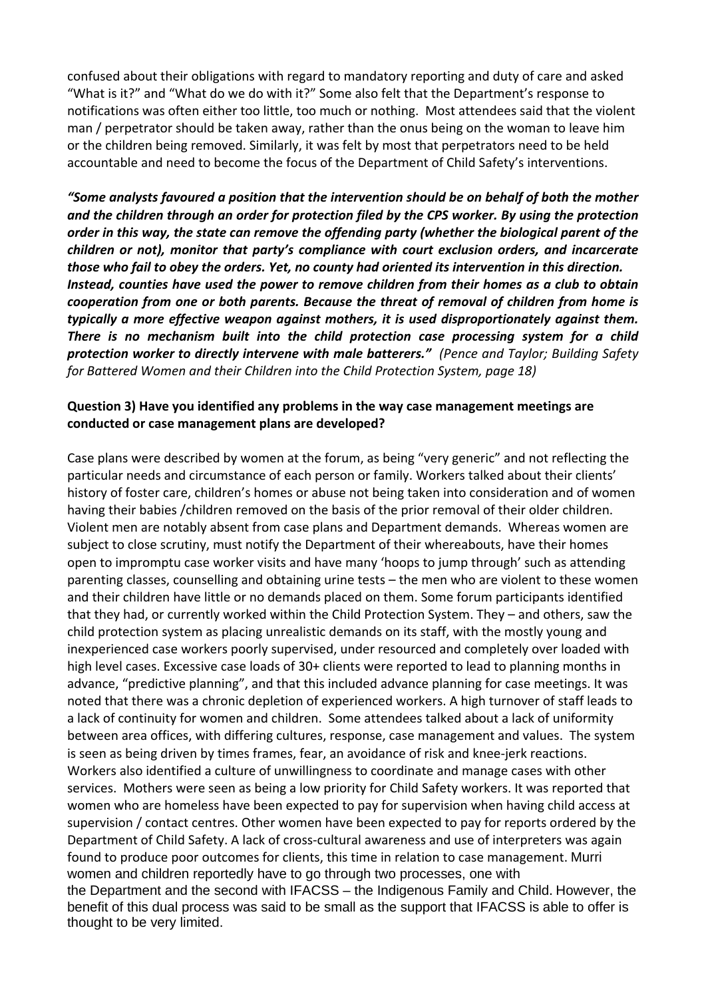confused about their obligations with regard to mandatory reporting and duty of care and asked "What is it?" and "What do we do with it?" Some also felt that the Department's response to notifications was often either too little, too much or nothing. Most attendees said that the violent man / perpetrator should be taken away, rather than the onus being on the woman to leave him or the children being removed. Similarly, it was felt by most that perpetrators need to be held accountable and need to become the focus of the Department of Child Safety's interventions.

*"Some analysts favoured a position that the intervention should be on behalf of both the mother and the children through an order for protection filed by the CPS worker. By using the protection order in this way, the state can remove the offending party (whether the biological parent of the children or not), monitor that party's compliance with court exclusion orders, and incarcerate those who fail to obey the orders. Yet, no county had oriented its intervention in this direction. Instead, counties have used the power to remove children from their homes as a club to obtain cooperation from one or both parents. Because the threat of removal of children from home is typically a more effective weapon against mothers, it is used disproportionately against them. There is no mechanism built into the child protection case processing system for a child protection worker to directly intervene with male batterers." (Pence and Taylor; Building Safety for Battered Women and their Children into the Child Protection System, page 18)*

#### **Question 3) Have you identified any problems in the way case management meetings are conducted or case management plans are developed?**

Case plans were described by women at the forum, as being "very generic" and not reflecting the particular needs and circumstance of each person or family. Workers talked about their clients' history of foster care, children's homes or abuse not being taken into consideration and of women having their babies /children removed on the basis of the prior removal of their older children. Violent men are notably absent from case plans and Department demands. Whereas women are subject to close scrutiny, must notify the Department of their whereabouts, have their homes open to impromptu case worker visits and have many 'hoops to jump through' such as attending parenting classes, counselling and obtaining urine tests – the men who are violent to these women and their children have little or no demands placed on them. Some forum participants identified that they had, or currently worked within the Child Protection System. They – and others, saw the child protection system as placing unrealistic demands on its staff, with the mostly young and inexperienced case workers poorly supervised, under resourced and completely over loaded with high level cases. Excessive case loads of 30+ clients were reported to lead to planning months in advance, "predictive planning", and that this included advance planning for case meetings. It was noted that there was a chronic depletion of experienced workers. A high turnover of staff leads to a lack of continuity for women and children. Some attendees talked about a lack of uniformity between area offices, with differing cultures, response, case management and values. The system is seen as being driven by times frames, fear, an avoidance of risk and knee‐jerk reactions. Workers also identified a culture of unwillingness to coordinate and manage cases with other services. Mothers were seen as being a low priority for Child Safety workers. It was reported that women who are homeless have been expected to pay for supervision when having child access at supervision / contact centres. Other women have been expected to pay for reports ordered by the Department of Child Safety. A lack of cross-cultural awareness and use of interpreters was again found to produce poor outcomes for clients, this time in relation to case management. Murri women and children reportedly have to go through two processes, one with the Department and the second with IFACSS – the Indigenous Family and Child. However, the benefit of this dual process was said to be small as the support that IFACSS is able to offer is thought to be very limited.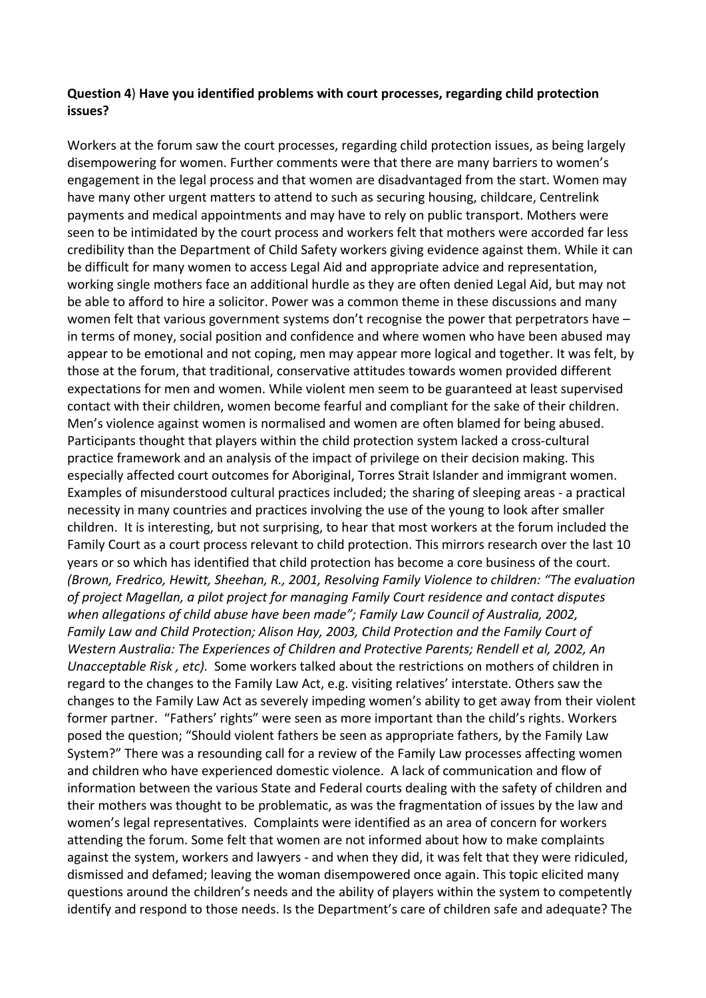#### **Question 4**) **Have you identified problems with court processes, regarding child protection issues?**

Workers at the forum saw the court processes, regarding child protection issues, as being largely disempowering for women. Further comments were that there are many barriers to women's engagement in the legal process and that women are disadvantaged from the start. Women may have many other urgent matters to attend to such as securing housing, childcare, Centrelink payments and medical appointments and may have to rely on public transport. Mothers were seen to be intimidated by the court process and workers felt that mothers were accorded far less credibility than the Department of Child Safety workers giving evidence against them. While it can be difficult for many women to access Legal Aid and appropriate advice and representation, working single mothers face an additional hurdle as they are often denied Legal Aid, but may not be able to afford to hire a solicitor. Power was a common theme in these discussions and many women felt that various government systems don't recognise the power that perpetrators have – in terms of money, social position and confidence and where women who have been abused may appear to be emotional and not coping, men may appear more logical and together. It was felt, by those at the forum, that traditional, conservative attitudes towards women provided different expectations for men and women. While violent men seem to be guaranteed at least supervised contact with their children, women become fearful and compliant for the sake of their children. Men's violence against women is normalised and women are often blamed for being abused. Participants thought that players within the child protection system lacked a cross-cultural practice framework and an analysis of the impact of privilege on their decision making. This especially affected court outcomes for Aboriginal, Torres Strait Islander and immigrant women. Examples of misunderstood cultural practices included; the sharing of sleeping areas ‐ a practical necessity in many countries and practices involving the use of the young to look after smaller children. It is interesting, but not surprising, to hear that most workers at the forum included the Family Court as a court process relevant to child protection. This mirrors research over the last 10 years or so which has identified that child protection has become a core business of the court. *(Brown, Fredrico, Hewitt, Sheehan, R., 2001, Resolving Family Violence to children: "The evaluation of project Magellan, a pilot project for managing Family Court residence and contact disputes when allegations of child abuse have been made"; Family Law Council of Australia, 2002, Family Law and Child Protection; Alison Hay, 2003, Child Protection and the Family Court of Western Australia: The Experiences of Children and Protective Parents; Rendell et al, 2002, An Unacceptable Risk, etc).* Some workers talked about the restrictions on mothers of children in regard to the changes to the Family Law Act, e.g. visiting relatives' interstate. Others saw the changes to the Family Law Act as severely impeding women's ability to get away from their violent former partner. "Fathers' rights" were seen as more important than the child's rights. Workers posed the question; "Should violent fathers be seen as appropriate fathers, by the Family Law System?" There was a resounding call for a review of the Family Law processes affecting women and children who have experienced domestic violence. A lack of communication and flow of information between the various State and Federal courts dealing with the safety of children and their mothers was thought to be problematic, as was the fragmentation of issues by the law and women's legal representatives. Complaints were identified as an area of concern for workers attending the forum. Some felt that women are not informed about how to make complaints against the system, workers and lawyers ‐ and when they did, it was felt that they were ridiculed, dismissed and defamed; leaving the woman disempowered once again. This topic elicited many questions around the children's needs and the ability of players within the system to competently identify and respond to those needs. Is the Department's care of children safe and adequate? The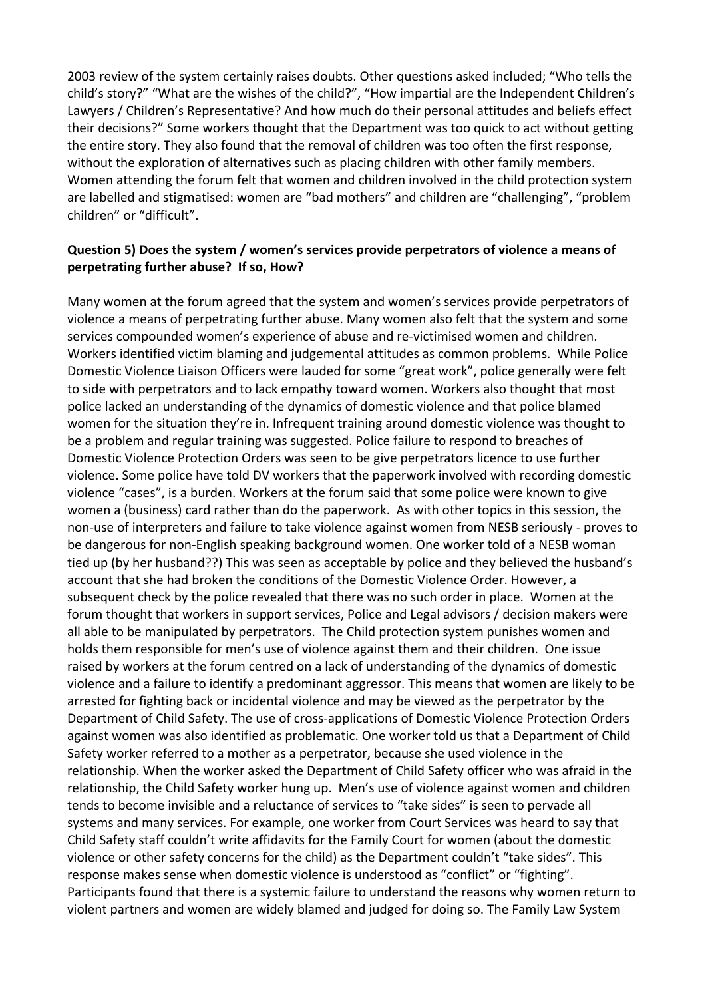2003 review of the system certainly raises doubts. Other questions asked included; "Who tells the child's story?" "What are the wishes of the child?", "How impartial are the Independent Children's Lawyers / Children's Representative? And how much do their personal attitudes and beliefs effect their decisions?" Some workers thought that the Department was too quick to act without getting the entire story. They also found that the removal of children was too often the first response, without the exploration of alternatives such as placing children with other family members. Women attending the forum felt that women and children involved in the child protection system are labelled and stigmatised: women are "bad mothers" and children are "challenging", "problem children" or "difficult".

# **Question 5) Does the system / women's services provide perpetrators of violence a means of perpetrating further abuse? If so, How?**

Many women at the forum agreed that the system and women's services provide perpetrators of violence a means of perpetrating further abuse. Many women also felt that the system and some services compounded women's experience of abuse and re‐victimised women and children. Workers identified victim blaming and judgemental attitudes as common problems. While Police Domestic Violence Liaison Officers were lauded for some "great work", police generally were felt to side with perpetrators and to lack empathy toward women. Workers also thought that most police lacked an understanding of the dynamics of domestic violence and that police blamed women for the situation they're in. Infrequent training around domestic violence was thought to be a problem and regular training was suggested. Police failure to respond to breaches of Domestic Violence Protection Orders was seen to be give perpetrators licence to use further violence. Some police have told DV workers that the paperwork involved with recording domestic violence "cases", is a burden. Workers at the forum said that some police were known to give women a (business) card rather than do the paperwork. As with other topics in this session, the non‐use of interpreters and failure to take violence against women from NESB seriously ‐ proves to be dangerous for non-English speaking background women. One worker told of a NESB woman tied up (by her husband??) This was seen as acceptable by police and they believed the husband's account that she had broken the conditions of the Domestic Violence Order. However, a subsequent check by the police revealed that there was no such order in place. Women at the forum thought that workers in support services, Police and Legal advisors / decision makers were all able to be manipulated by perpetrators. The Child protection system punishes women and holds them responsible for men's use of violence against them and their children. One issue raised by workers at the forum centred on a lack of understanding of the dynamics of domestic violence and a failure to identify a predominant aggressor. This means that women are likely to be arrested for fighting back or incidental violence and may be viewed as the perpetrator by the Department of Child Safety. The use of cross‐applications of Domestic Violence Protection Orders against women was also identified as problematic. One worker told us that a Department of Child Safety worker referred to a mother as a perpetrator, because she used violence in the relationship. When the worker asked the Department of Child Safety officer who was afraid in the relationship, the Child Safety worker hung up. Men's use of violence against women and children tends to become invisible and a reluctance of services to "take sides" is seen to pervade all systems and many services. For example, one worker from Court Services was heard to say that Child Safety staff couldn't write affidavits for the Family Court for women (about the domestic violence or other safety concerns for the child) as the Department couldn't "take sides". This response makes sense when domestic violence is understood as "conflict" or "fighting". Participants found that there is a systemic failure to understand the reasons why women return to violent partners and women are widely blamed and judged for doing so. The Family Law System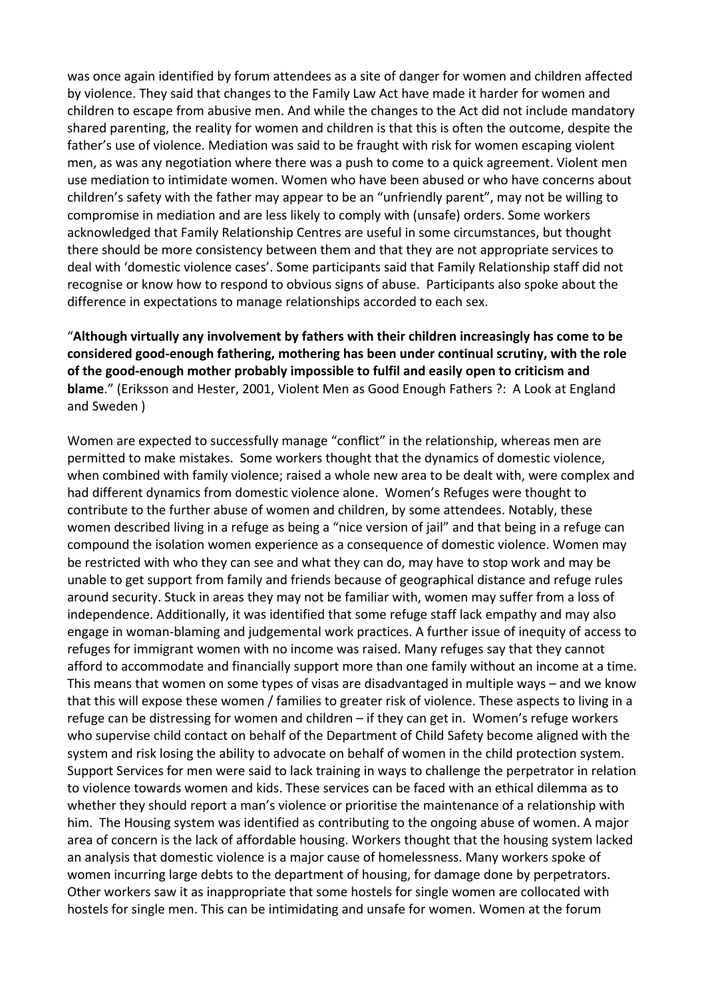was once again identified by forum attendees as a site of danger for women and children affected by violence. They said that changes to the Family Law Act have made it harder for women and children to escape from abusive men. And while the changes to the Act did not include mandatory shared parenting, the reality for women and children is that this is often the outcome, despite the father's use of violence. Mediation was said to be fraught with risk for women escaping violent men, as was any negotiation where there was a push to come to a quick agreement. Violent men use mediation to intimidate women. Women who have been abused or who have concerns about children's safety with the father may appear to be an "unfriendly parent", may not be willing to compromise in mediation and are less likely to comply with (unsafe) orders. Some workers acknowledged that Family Relationship Centres are useful in some circumstances, but thought there should be more consistency between them and that they are not appropriate services to deal with 'domestic violence cases'. Some participants said that Family Relationship staff did not recognise or know how to respond to obvious signs of abuse. Participants also spoke about the difference in expectations to manage relationships accorded to each sex.

"**Although virtually any involvement by fathers with their children increasingly has come to be considered good‐enough fathering, mothering has been under continual scrutiny, with the role of the good‐enough mother probably impossible to fulfil and easily open to criticism and blame**." (Eriksson and Hester, 2001, Violent Men as Good Enough Fathers ?: A Look at England and Sweden )

Women are expected to successfully manage "conflict" in the relationship, whereas men are permitted to make mistakes. Some workers thought that the dynamics of domestic violence, when combined with family violence; raised a whole new area to be dealt with, were complex and had different dynamics from domestic violence alone. Women's Refuges were thought to contribute to the further abuse of women and children, by some attendees. Notably, these women described living in a refuge as being a "nice version of jail" and that being in a refuge can compound the isolation women experience as a consequence of domestic violence. Women may be restricted with who they can see and what they can do, may have to stop work and may be unable to get support from family and friends because of geographical distance and refuge rules around security. Stuck in areas they may not be familiar with, women may suffer from a loss of independence. Additionally, it was identified that some refuge staff lack empathy and may also engage in woman‐blaming and judgemental work practices. A further issue of inequity of access to refuges for immigrant women with no income was raised. Many refuges say that they cannot afford to accommodate and financially support more than one family without an income at a time. This means that women on some types of visas are disadvantaged in multiple ways – and we know that this will expose these women / families to greater risk of violence. These aspects to living in a refuge can be distressing for women and children – if they can get in. Women's refuge workers who supervise child contact on behalf of the Department of Child Safety become aligned with the system and risk losing the ability to advocate on behalf of women in the child protection system. Support Services for men were said to lack training in ways to challenge the perpetrator in relation to violence towards women and kids. These services can be faced with an ethical dilemma as to whether they should report a man's violence or prioritise the maintenance of a relationship with him. The Housing system was identified as contributing to the ongoing abuse of women. A major area of concern is the lack of affordable housing. Workers thought that the housing system lacked an analysis that domestic violence is a major cause of homelessness. Many workers spoke of women incurring large debts to the department of housing, for damage done by perpetrators. Other workers saw it as inappropriate that some hostels for single women are collocated with hostels for single men. This can be intimidating and unsafe for women. Women at the forum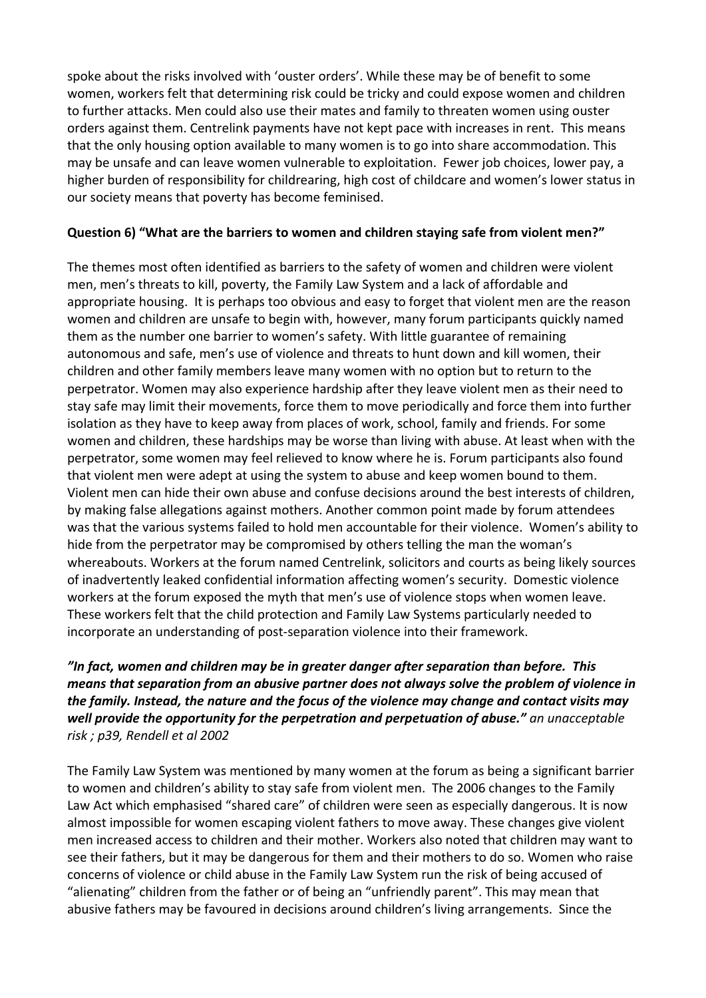spoke about the risks involved with 'ouster orders'. While these may be of benefit to some women, workers felt that determining risk could be tricky and could expose women and children to further attacks. Men could also use their mates and family to threaten women using ouster orders against them. Centrelink payments have not kept pace with increases in rent. This means that the only housing option available to many women is to go into share accommodation. This may be unsafe and can leave women vulnerable to exploitation. Fewer job choices, lower pay, a higher burden of responsibility for childrearing, high cost of childcare and women's lower status in our society means that poverty has become feminised.

# **Question 6) "What are the barriers to women and children staying safe from violent men?"**

The themes most often identified as barriers to the safety of women and children were violent men, men's threats to kill, poverty, the Family Law System and a lack of affordable and appropriate housing. It is perhaps too obvious and easy to forget that violent men are the reason women and children are unsafe to begin with, however, many forum participants quickly named them as the number one barrier to women's safety. With little guarantee of remaining autonomous and safe, men's use of violence and threats to hunt down and kill women, their children and other family members leave many women with no option but to return to the perpetrator. Women may also experience hardship after they leave violent men as their need to stay safe may limit their movements, force them to move periodically and force them into further isolation as they have to keep away from places of work, school, family and friends. For some women and children, these hardships may be worse than living with abuse. At least when with the perpetrator, some women may feel relieved to know where he is. Forum participants also found that violent men were adept at using the system to abuse and keep women bound to them. Violent men can hide their own abuse and confuse decisions around the best interests of children, by making false allegations against mothers. Another common point made by forum attendees was that the various systems failed to hold men accountable for their violence. Women's ability to hide from the perpetrator may be compromised by others telling the man the woman's whereabouts. Workers at the forum named Centrelink, solicitors and courts as being likely sources of inadvertently leaked confidential information affecting women's security. Domestic violence workers at the forum exposed the myth that men's use of violence stops when women leave. These workers felt that the child protection and Family Law Systems particularly needed to incorporate an understanding of post‐separation violence into their framework.

# *"In fact, women and children may be in greater danger after separation than before. This means that separation from an abusive partner does not always solve the problem of violence in the family. Instead, the nature and the focus of the violence may change and contact visits may well provide the opportunity for the perpetration and perpetuation of abuse." an unacceptable risk ; p39, Rendell et al 2002*

The Family Law System was mentioned by many women at the forum as being a significant barrier to women and children's ability to stay safe from violent men. The 2006 changes to the Family Law Act which emphasised "shared care" of children were seen as especially dangerous. It is now almost impossible for women escaping violent fathers to move away. These changes give violent men increased access to children and their mother. Workers also noted that children may want to see their fathers, but it may be dangerous for them and their mothers to do so. Women who raise concerns of violence or child abuse in the Family Law System run the risk of being accused of "alienating" children from the father or of being an "unfriendly parent". This may mean that abusive fathers may be favoured in decisions around children's living arrangements. Since the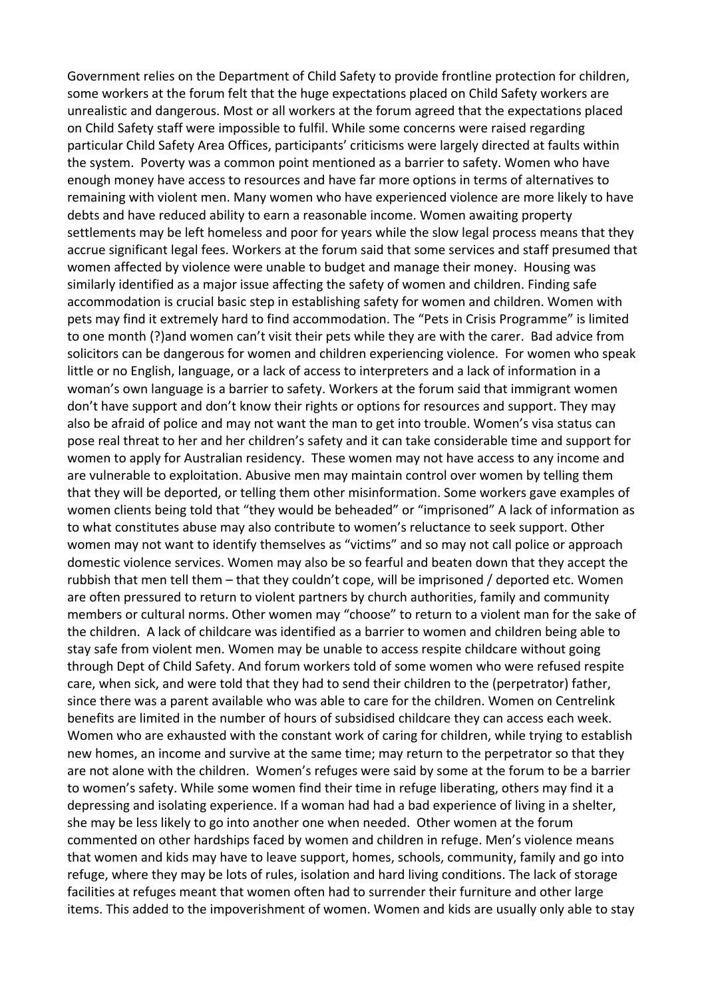Government relies on the Department of Child Safety to provide frontline protection for children, some workers at the forum felt that the huge expectations placed on Child Safety workers are unrealistic and dangerous. Most or all workers at the forum agreed that the expectations placed on Child Safety staff were impossible to fulfil. While some concerns were raised regarding particular Child Safety Area Offices, participants' criticisms were largely directed at faults within the system. Poverty was a common point mentioned as a barrier to safety. Women who have enough money have access to resources and have far more options in terms of alternatives to remaining with violent men. Many women who have experienced violence are more likely to have debts and have reduced ability to earn a reasonable income. Women awaiting property settlements may be left homeless and poor for years while the slow legal process means that they accrue significant legal fees. Workers at the forum said that some services and staff presumed that women affected by violence were unable to budget and manage their money. Housing was similarly identified as a major issue affecting the safety of women and children. Finding safe accommodation is crucial basic step in establishing safety for women and children. Women with pets may find it extremely hard to find accommodation. The "Pets in Crisis Programme" is limited to one month (?)and women can't visit their pets while they are with the carer. Bad advice from solicitors can be dangerous for women and children experiencing violence. For women who speak little or no English, language, or a lack of access to interpreters and a lack of information in a woman's own language is a barrier to safety. Workers at the forum said that immigrant women don't have support and don't know their rights or options for resources and support. They may also be afraid of police and may not want the man to get into trouble. Women's visa status can pose real threat to her and her children's safety and it can take considerable time and support for women to apply for Australian residency. These women may not have access to any income and are vulnerable to exploitation. Abusive men may maintain control over women by telling them that they will be deported, or telling them other misinformation. Some workers gave examples of women clients being told that "they would be beheaded" or "imprisoned" A lack of information as to what constitutes abuse may also contribute to women's reluctance to seek support. Other women may not want to identify themselves as "victims" and so may not call police or approach domestic violence services. Women may also be so fearful and beaten down that they accept the rubbish that men tell them – that they couldn't cope, will be imprisoned / deported etc. Women are often pressured to return to violent partners by church authorities, family and community members or cultural norms. Other women may "choose" to return to a violent man for the sake of the children. A lack of childcare was identified as a barrier to women and children being able to stay safe from violent men. Women may be unable to access respite childcare without going through Dept of Child Safety. And forum workers told of some women who were refused respite care, when sick, and were told that they had to send their children to the (perpetrator) father, since there was a parent available who was able to care for the children. Women on Centrelink benefits are limited in the number of hours of subsidised childcare they can access each week. Women who are exhausted with the constant work of caring for children, while trying to establish new homes, an income and survive at the same time; may return to the perpetrator so that they are not alone with the children. Women's refuges were said by some at the forum to be a barrier to women's safety. While some women find their time in refuge liberating, others may find it a depressing and isolating experience. If a woman had had a bad experience of living in a shelter, she may be less likely to go into another one when needed. Other women at the forum commented on other hardships faced by women and children in refuge. Men's violence means that women and kids may have to leave support, homes, schools, community, family and go into refuge, where they may be lots of rules, isolation and hard living conditions. The lack of storage facilities at refuges meant that women often had to surrender their furniture and other large items. This added to the impoverishment of women. Women and kids are usually only able to stay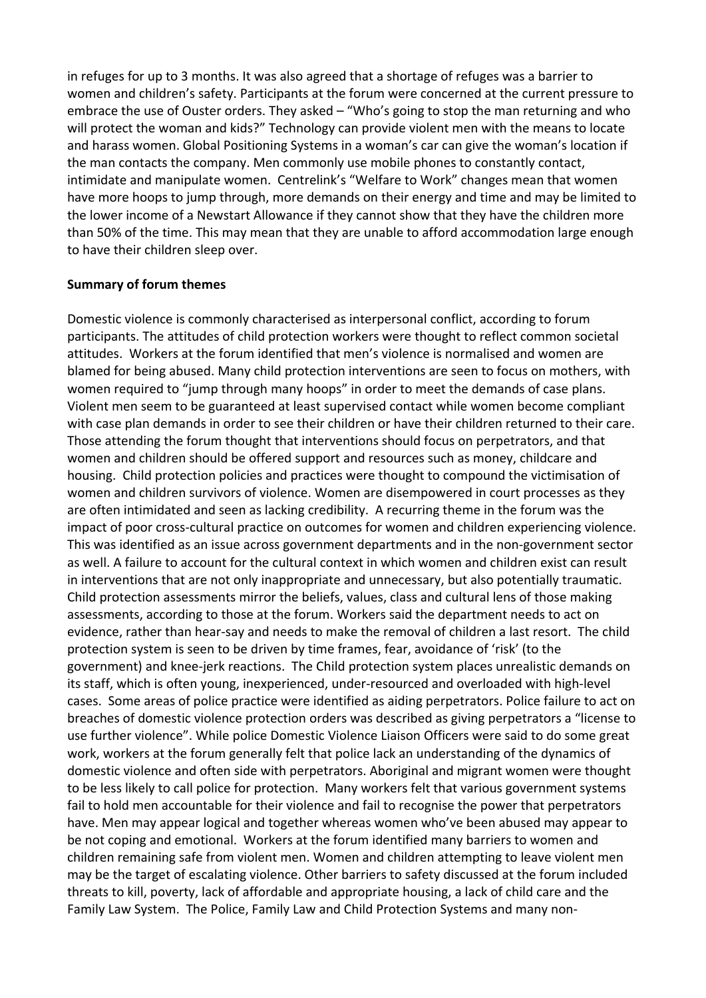in refuges for up to 3 months. It was also agreed that a shortage of refuges was a barrier to women and children's safety. Participants at the forum were concerned at the current pressure to embrace the use of Ouster orders. They asked – "Who's going to stop the man returning and who will protect the woman and kids?" Technology can provide violent men with the means to locate and harass women. Global Positioning Systems in a woman's car can give the woman's location if the man contacts the company. Men commonly use mobile phones to constantly contact, intimidate and manipulate women. Centrelink's "Welfare to Work" changes mean that women have more hoops to jump through, more demands on their energy and time and may be limited to the lower income of a Newstart Allowance if they cannot show that they have the children more than 50% of the time. This may mean that they are unable to afford accommodation large enough to have their children sleep over.

#### **Summary of forum themes**

Domestic violence is commonly characterised as interpersonal conflict, according to forum participants. The attitudes of child protection workers were thought to reflect common societal attitudes. Workers at the forum identified that men's violence is normalised and women are blamed for being abused. Many child protection interventions are seen to focus on mothers, with women required to "jump through many hoops" in order to meet the demands of case plans. Violent men seem to be guaranteed at least supervised contact while women become compliant with case plan demands in order to see their children or have their children returned to their care. Those attending the forum thought that interventions should focus on perpetrators, and that women and children should be offered support and resources such as money, childcare and housing. Child protection policies and practices were thought to compound the victimisation of women and children survivors of violence. Women are disempowered in court processes as they are often intimidated and seen as lacking credibility. A recurring theme in the forum was the impact of poor cross-cultural practice on outcomes for women and children experiencing violence. This was identified as an issue across government departments and in the non‐government sector as well. A failure to account for the cultural context in which women and children exist can result in interventions that are not only inappropriate and unnecessary, but also potentially traumatic. Child protection assessments mirror the beliefs, values, class and cultural lens of those making assessments, according to those at the forum. Workers said the department needs to act on evidence, rather than hear‐say and needs to make the removal of children a last resort. The child protection system is seen to be driven by time frames, fear, avoidance of 'risk' (to the government) and knee‐jerk reactions. The Child protection system places unrealistic demands on its staff, which is often young, inexperienced, under‐resourced and overloaded with high‐level cases. Some areas of police practice were identified as aiding perpetrators. Police failure to act on breaches of domestic violence protection orders was described as giving perpetrators a "license to use further violence". While police Domestic Violence Liaison Officers were said to do some great work, workers at the forum generally felt that police lack an understanding of the dynamics of domestic violence and often side with perpetrators. Aboriginal and migrant women were thought to be less likely to call police for protection. Many workers felt that various government systems fail to hold men accountable for their violence and fail to recognise the power that perpetrators have. Men may appear logical and together whereas women who've been abused may appear to be not coping and emotional. Workers at the forum identified many barriers to women and children remaining safe from violent men. Women and children attempting to leave violent men may be the target of escalating violence. Other barriers to safety discussed at the forum included threats to kill, poverty, lack of affordable and appropriate housing, a lack of child care and the Family Law System. The Police, Family Law and Child Protection Systems and many non‐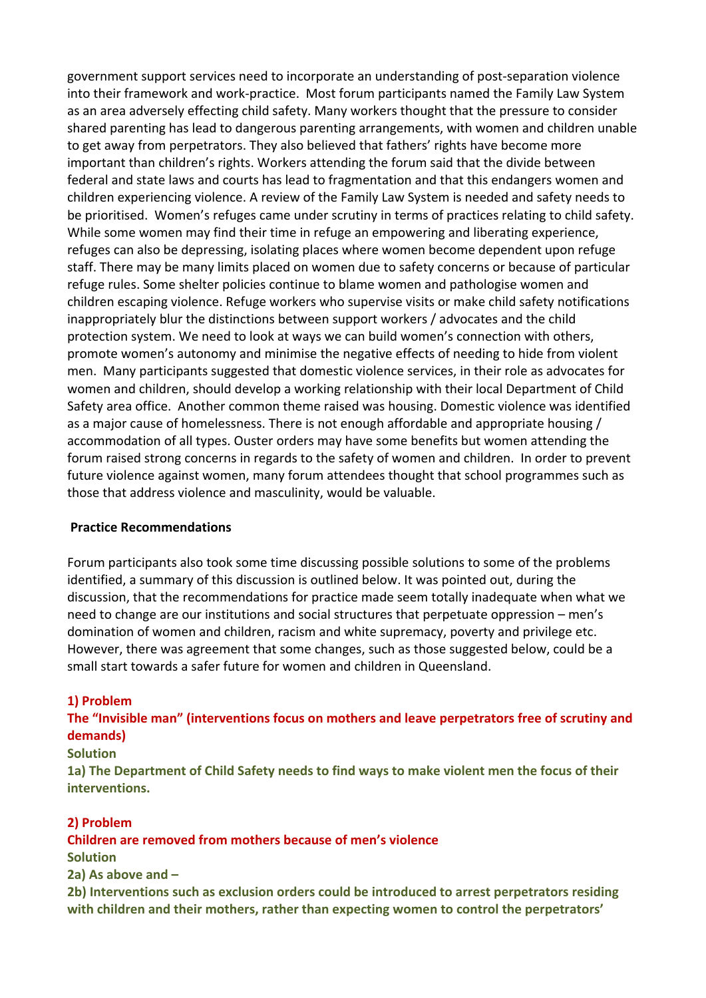government support services need to incorporate an understanding of post‐separation violence into their framework and work‐practice. Most forum participants named the Family Law System as an area adversely effecting child safety. Many workers thought that the pressure to consider shared parenting has lead to dangerous parenting arrangements, with women and children unable to get away from perpetrators. They also believed that fathers' rights have become more important than children's rights. Workers attending the forum said that the divide between federal and state laws and courts has lead to fragmentation and that this endangers women and children experiencing violence. A review of the Family Law System is needed and safety needs to be prioritised. Women's refuges came under scrutiny in terms of practices relating to child safety. While some women may find their time in refuge an empowering and liberating experience, refuges can also be depressing, isolating places where women become dependent upon refuge staff. There may be many limits placed on women due to safety concerns or because of particular refuge rules. Some shelter policies continue to blame women and pathologise women and children escaping violence. Refuge workers who supervise visits or make child safety notifications inappropriately blur the distinctions between support workers / advocates and the child protection system. We need to look at ways we can build women's connection with others, promote women's autonomy and minimise the negative effects of needing to hide from violent men. Many participants suggested that domestic violence services, in their role as advocates for women and children, should develop a working relationship with their local Department of Child Safety area office. Another common theme raised was housing. Domestic violence was identified as a major cause of homelessness. There is not enough affordable and appropriate housing / accommodation of all types. Ouster orders may have some benefits but women attending the forum raised strong concerns in regards to the safety of women and children. In order to prevent future violence against women, many forum attendees thought that school programmes such as those that address violence and masculinity, would be valuable.

#### **Practice Recommendations**

Forum participants also took some time discussing possible solutions to some of the problems identified, a summary of this discussion is outlined below. It was pointed out, during the discussion, that the recommendations for practice made seem totally inadequate when what we need to change are our institutions and social structures that perpetuate oppression – men's domination of women and children, racism and white supremacy, poverty and privilege etc. However, there was agreement that some changes, such as those suggested below, could be a small start towards a safer future for women and children in Queensland.

#### **1) Problem**

# **The "Invisible man" (interventions focus on mothers and leave perpetrators free of scrutiny and demands)**

#### **Solution**

**1a) The Department of Child Safety needs to find ways to make violent men the focus of their interventions.**

#### **2) Problem**

#### **Children are removed from mothers because of men's violence**

**Solution**

**2a) As above and –**

**2b) Interventions such as exclusion orders could be introduced to arrest perpetrators residing with children and their mothers, rather than expecting women to control the perpetrators'**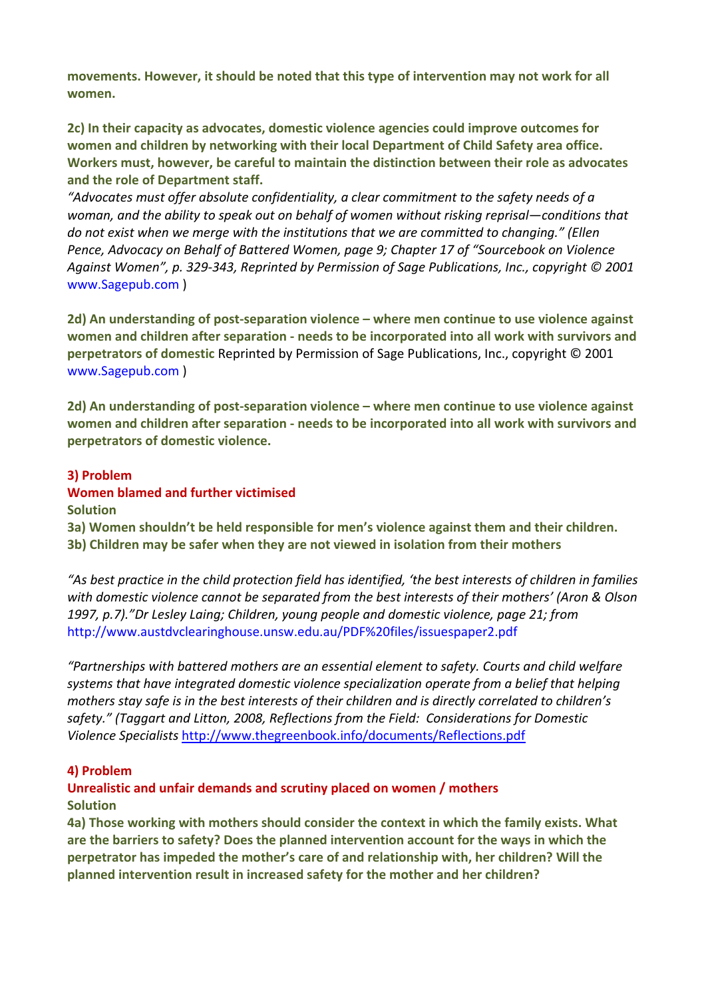**movements. However, it should be noted that this type of intervention may not work for all women.**

**2c) In their capacity as advocates, domestic violence agencies could improve outcomes for women and children by networking with their local Department of Child Safety area office. Workers must, however, be careful to maintain the distinction between their role as advocates and the role of Department staff.**

*"Advocates must offer absolute confidentiality, a clear commitment to the safety needs of a woman, and the ability to speak out on behalf of women without risking reprisal—conditions that do not exist when we merge with the institutions that we are committed to changing." (Ellen Pence, Advocacy on Behalf of Battered Women, page 9; Chapter 17 of "Sourcebook on Violence Against Women", p. 329‐343, Reprinted by Permission of Sage Publications, Inc., copyright © 2001* www.Sagepub.com )

**2d) An understanding of post‐separation violence – where men continue to use violence against women and children after separation ‐ needs to be incorporated into all work with survivors and perpetrators of domestic** Reprinted by Permission of Sage Publications, Inc., copyright © 2001 www.Sagepub.com )

**2d) An understanding of post‐separation violence – where men continue to use violence against women and children after separation ‐ needs to be incorporated into all work with survivors and perpetrators of domestic violence.**

#### **3) Problem**

#### **Women blamed and further victimised Solution**

**3a) Women shouldn't be held responsible for men's violence against them and their children. 3b) Children may be safer when they are not viewed in isolation from their mothers**

"As best practice in the child protection field has identified, 'the best interests of children in families *with domestic violence cannot be separated from the best interests of their mothers' (Aron & Olson 1997, p.7)."Dr Lesley Laing; Children, young people and domestic violence, page 21; from* http://www.austdvclearinghouse.unsw.edu.au/PDF%20files/issuespaper2.pdf

*"Partnerships with battered mothers are an essential element to safety. Courts and child welfare systems that have integrated domestic violence specialization operate from a belief that helping mothers stay safe is in the best interests of their children and is directly correlated to children's safety." (Taggart and Litton, 2008, Reflections from the Field: Considerations for Domestic Violence Specialists* <http://www.thegreenbook.info/documents/Reflections.pdf>

#### **4) Problem**

# **Unrealistic and unfair demands and scrutiny placed on women / mothers Solution**

**4a) Those working with mothers should consider the context in which the family exists. What are the barriers to safety? Does the planned intervention account for the ways in which the perpetrator has impeded the mother's care of and relationship with, her children? Will the planned intervention result in increased safety for the mother and her children?**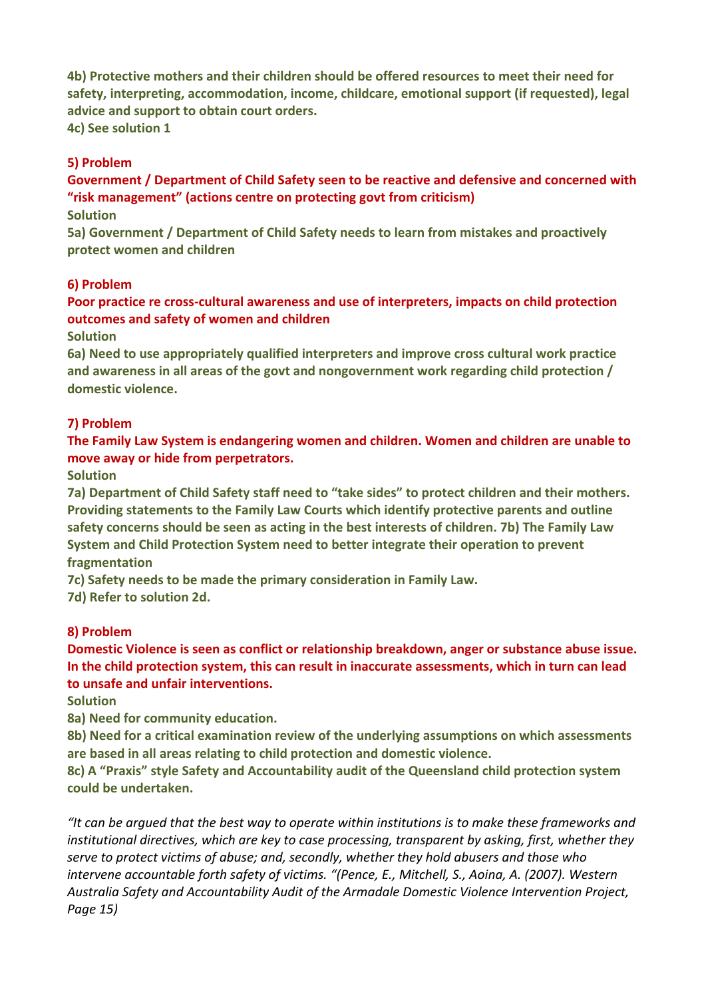**4b) Protective mothers and their children should be offered resources to meet their need for safety, interpreting, accommodation, income, childcare, emotional support (if requested), legal advice and support to obtain court orders.**

**4c) See solution 1**

### **5) Problem**

**Government / Department of Child Safety seen to be reactive and defensive and concerned with "risk management" (actions centre on protecting govt from criticism)**

#### **Solution**

**5a) Government / Department of Child Safety needs to learn from mistakes and proactively protect women and children**

#### **6) Problem**

**Poor practice re cross‐cultural awareness and use of interpreters, impacts on child protection outcomes and safety of women and children**

**Solution**

**6a) Need to use appropriately qualified interpreters and improve cross cultural work practice and awareness in all areas of the govt and nongovernment work regarding child protection / domestic violence.**

#### **7) Problem**

**The Family Law System is endangering women and children. Women and children are unable to move away or hide from perpetrators.**

**Solution**

**7a) Department of Child Safety staff need to "take sides" to protect children and their mothers. Providing statements to the Family Law Courts which identify protective parents and outline safety concerns should be seen as acting in the best interests of children. 7b) The Family Law System and Child Protection System need to better integrate their operation to prevent fragmentation**

**7c) Safety needs to be made the primary consideration in Family Law.**

**7d) Refer to solution 2d.**

#### **8) Problem**

**Domestic Violence is seen as conflict or relationship breakdown, anger or substance abuse issue. In the child protection system, this can result in inaccurate assessments, which in turn can lead to unsafe and unfair interventions.**

**Solution**

**8a) Need for community education.**

**8b) Need for a critical examination review of the underlying assumptions on which assessments are based in all areas relating to child protection and domestic violence.**

**8c) A "Praxis" style Safety and Accountability audit of the Queensland child protection system could be undertaken.**

*"It can be argued that the best way to operate within institutions is to make these frameworks and institutional directives, which are key to case processing, transparent by asking, first, whether they serve to protect victims of abuse; and, secondly, whether they hold abusers and those who intervene accountable forth safety of victims. "(Pence, E., Mitchell, S., Aoina, A. (2007). Western Australia Safety and Accountability Audit of the Armadale Domestic Violence Intervention Project, Page 15)*